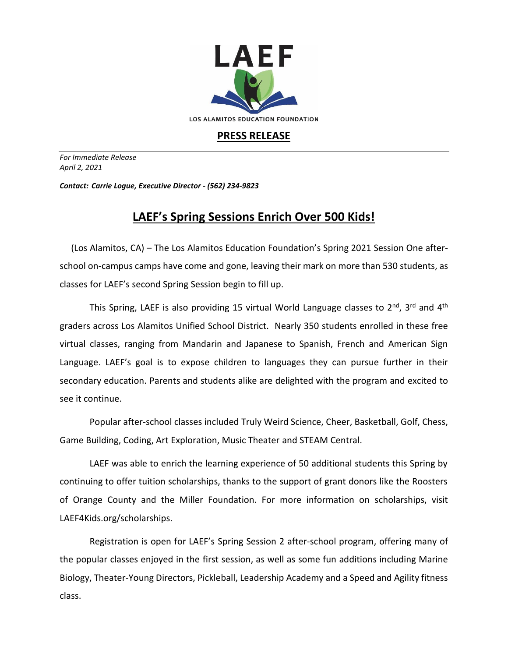

## **PRESS RELEASE**

*For Immediate Release April 2, 2021*

*Contact: Carrie Logue, Executive Director - (562) 234-9823*

## **LAEF's Spring Sessions Enrich Over 500 Kids!**

 (Los Alamitos, CA) – The Los Alamitos Education Foundation's Spring 2021 Session One afterschool on-campus camps have come and gone, leaving their mark on more than 530 students, as classes for LAEF's second Spring Session begin to fill up.

This Spring, LAEF is also providing 15 virtual World Language classes to 2<sup>nd</sup>, 3<sup>rd</sup> and 4<sup>th</sup> graders across Los Alamitos Unified School District. Nearly 350 students enrolled in these free virtual classes, ranging from Mandarin and Japanese to Spanish, French and American Sign Language. LAEF's goal is to expose children to languages they can pursue further in their secondary education. Parents and students alike are delighted with the program and excited to see it continue.

Popular after-school classes included Truly Weird Science, Cheer, Basketball, Golf, Chess, Game Building, Coding, Art Exploration, Music Theater and STEAM Central.

LAEF was able to enrich the learning experience of 50 additional students this Spring by continuing to offer tuition scholarships, thanks to the support of grant donors like the Roosters of Orange County and the Miller Foundation. For more information on scholarships, visit LAEF4Kids.org/scholarships.

Registration is open for LAEF's Spring Session 2 after-school program, offering many of the popular classes enjoyed in the first session, as well as some fun additions including Marine Biology, Theater-Young Directors, Pickleball, Leadership Academy and a Speed and Agility fitness class.